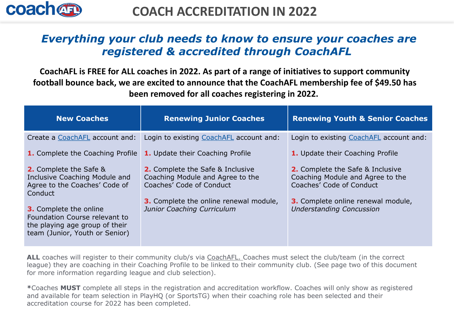

# *Everything your club needs to know to ensure your coaches are registered & accredited through CoachAFL*

**CoachAFL is FREE for ALL coaches in 2022. As part of a range of initiatives to support community football bounce back, we are excited to announce that the CoachAFL membership fee of \$49.50 has been removed for all coaches registering in 2022.**

| <b>New Coaches</b>                                                                                                          | <b>Renewing Junior Coaches</b>                                                                          | <b>Renewing Youth &amp; Senior Coaches</b>                                                              |
|-----------------------------------------------------------------------------------------------------------------------------|---------------------------------------------------------------------------------------------------------|---------------------------------------------------------------------------------------------------------|
| Create a CoachAFL account and:                                                                                              | Login to existing CoachAFL account and:                                                                 | Login to existing CoachAFL account and:                                                                 |
| <b>1.</b> Complete the Coaching Profile                                                                                     | <b>1.</b> Update their Coaching Profile                                                                 | 1. Update their Coaching Profile                                                                        |
| <b>2.</b> Complete the Safe &<br>Inclusive Coaching Module and<br>Agree to the Coaches' Code of<br>Conduct                  | <b>2.</b> Complete the Safe & Inclusive<br>Coaching Module and Agree to the<br>Coaches' Code of Conduct | <b>2.</b> Complete the Safe & Inclusive<br>Coaching Module and Agree to the<br>Coaches' Code of Conduct |
| 3. Complete the online<br>Foundation Course relevant to<br>the playing age group of their<br>team (Junior, Youth or Senior) | <b>3.</b> Complete the online renewal module,<br>Junior Coaching Curriculum                             | <b>3.</b> Complete online renewal module,<br><b>Understanding Concussion</b>                            |

**ALL** coaches will register to their community club/s via [CoachAFL.](https://coach.afl/) Coaches must select the club/team (in the correct league) they are coaching in their Coaching Profile to be linked to their community club. (See page two of this document for more information regarding league and club selection).

**\***Coaches **MUST** complete all steps in the registration and accreditation workflow. Coaches will only show as registered and available for team selection in PlayHQ (or SportsTG) when their coaching role has been selected and their accreditation course for 2022 has been completed.